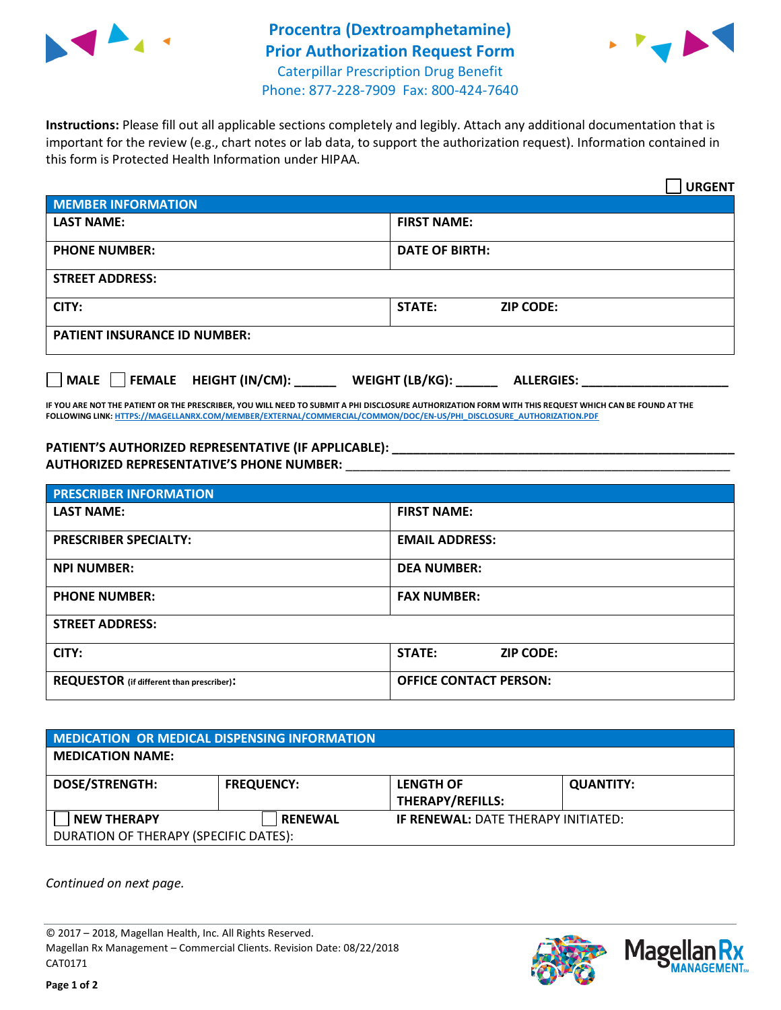



**Instructions:** Please fill out all applicable sections completely and legibly. Attach any additional documentation that is important for the review (e.g., chart notes or lab data, to support the authorization request). Information contained in this form is Protected Health Information under HIPAA.

|                                     | <b>URGENT</b>                        |  |  |
|-------------------------------------|--------------------------------------|--|--|
| <b>MEMBER INFORMATION</b>           |                                      |  |  |
| <b>LAST NAME:</b>                   | <b>FIRST NAME:</b>                   |  |  |
| <b>PHONE NUMBER:</b>                | <b>DATE OF BIRTH:</b>                |  |  |
| <b>STREET ADDRESS:</b>              |                                      |  |  |
| CITY:                               | <b>ZIP CODE:</b><br>STATE:           |  |  |
| <b>PATIENT INSURANCE ID NUMBER:</b> |                                      |  |  |
| MALE FEMALE HEIGHT (IN/CM):         | WEIGHT (LB/KG):<br><b>ALLERGIES:</b> |  |  |

**IF YOU ARE NOT THE PATIENT OR THE PRESCRIBER, YOU WILL NEED TO SUBMIT A PHI DISCLOSURE AUTHORIZATION FORM WITH THIS REQUEST WHICH CAN BE FOUND AT THE FOLLOWING LINK[: HTTPS://MAGELLANRX.COM/MEMBER/EXTERNAL/COMMERCIAL/COMMON/DOC/EN-US/PHI\\_DISCLOSURE\\_AUTHORIZATION.PDF](https://magellanrx.com/member/external/commercial/common/doc/en-us/PHI_Disclosure_Authorization.pdf)**

PATIENT'S AUTHORIZED REPRESENTATIVE (IF APPLICABLE): **AUTHORIZED REPRESENTATIVE'S PHONE NUMBER:** \_\_\_\_\_\_\_\_\_\_\_\_\_\_\_\_\_\_\_\_\_\_\_\_\_\_\_\_\_\_\_\_\_\_\_\_\_\_\_\_\_\_\_\_\_\_\_\_\_\_\_\_\_\_\_

| <b>PRESCRIBER INFORMATION</b>             |                               |  |  |
|-------------------------------------------|-------------------------------|--|--|
| <b>LAST NAME:</b>                         | <b>FIRST NAME:</b>            |  |  |
| <b>PRESCRIBER SPECIALTY:</b>              | <b>EMAIL ADDRESS:</b>         |  |  |
| <b>NPI NUMBER:</b>                        | <b>DEA NUMBER:</b>            |  |  |
| <b>PHONE NUMBER:</b>                      | <b>FAX NUMBER:</b>            |  |  |
| <b>STREET ADDRESS:</b>                    |                               |  |  |
| CITY:                                     | STATE:<br><b>ZIP CODE:</b>    |  |  |
| REQUESTOR (if different than prescriber): | <b>OFFICE CONTACT PERSON:</b> |  |  |

| <b>MEDICATION OR MEDICAL DISPENSING INFORMATION</b> |                   |                                            |                  |  |  |
|-----------------------------------------------------|-------------------|--------------------------------------------|------------------|--|--|
| <b>MEDICATION NAME:</b>                             |                   |                                            |                  |  |  |
| <b>DOSE/STRENGTH:</b>                               | <b>FREQUENCY:</b> | <b>LENGTH OF</b>                           | <b>QUANTITY:</b> |  |  |
|                                                     |                   | <b>THERAPY/REFILLS:</b>                    |                  |  |  |
| <b>NEW THERAPY</b>                                  | <b>RENEWAL</b>    | <b>IF RENEWAL: DATE THERAPY INITIATED:</b> |                  |  |  |
| DURATION OF THERAPY (SPECIFIC DATES):               |                   |                                            |                  |  |  |

*Continued on next page.*

© 2017 – 2018, Magellan Health, Inc. All Rights Reserved. Magellan Rx Management – Commercial Clients. Revision Date: 08/22/2018 CAT0171